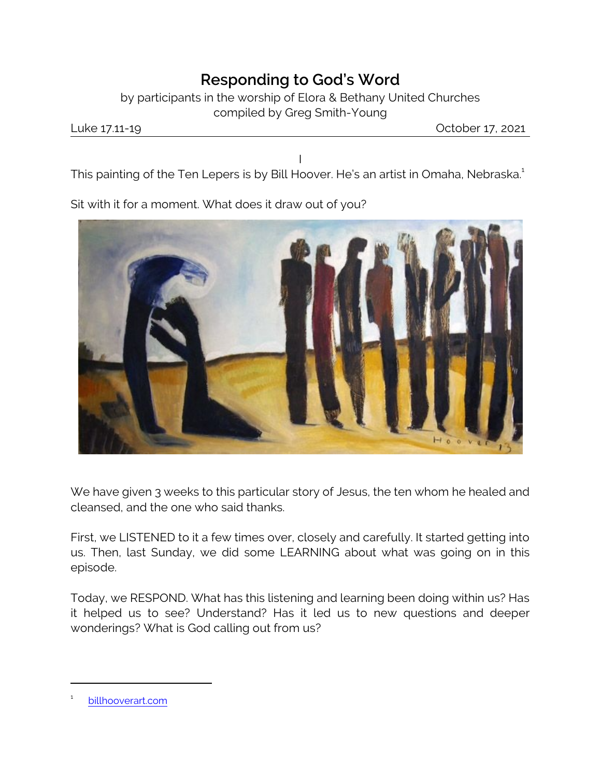## *Responding to God's Word*

by participants in the worship of Elora & Bethany United Churches compiled by Greg Smith-Young

Luke 17.11-19 October 17, 2021

I This painting of the Ten Lepers is by Bill Hoover. He's an artist in Omaha, Nebraska.<sup>1</sup>

Sit with it for a moment. What does it draw out of you?



We have given 3 weeks to this particular story of Jesus, the ten whom he healed and cleansed, and the one who said thanks.

First, we LISTENED to it a few times over, closely and carefully. It started getting into us. Then, last Sunday, we did some LEARNING about what was going on in this episode.

Today, we RESPOND. What has this listening and learning been doing within us? Has it helped us to see? Understand? Has it led us to new questions and deeper wonderings? What is God calling out from us?

<sup>1</sup> [billhooverart.com](file:///|//billhooverart.com)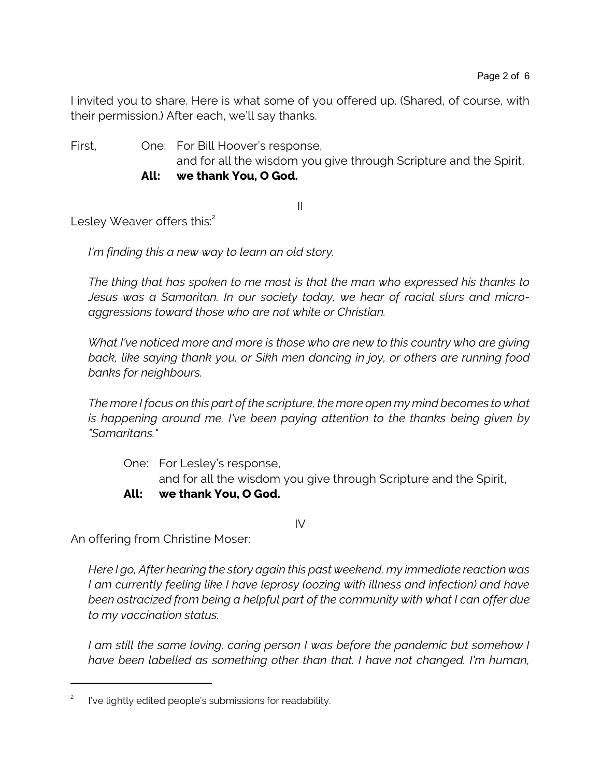I invited you to share. Here is what some of you offered up. (Shared, of course, with their permission.) After each, we'll say thanks.

First, One: For Bill Hoover's response,

and for all the wisdom you give through Scripture and the Spirit,

**All: we thank You, O God.** 

II

Lesley Weaver offers this:<sup>2</sup>

*I'm finding this a new way to learn an old story.* 

*The thing that has spoken to me most is that the man who expressed his thanks to Jesus was a Samaritan. In our society today, we hear of racial slurs and microaggressions toward those who are not white or Christian.* 

*What I've noticed more and more is those who are new to this country who are giving back, like saying thank you, or Sikh men dancing in joy, or others are running food banks for neighbours.* 

*The more I focus on this part of the scripture, the more open my mind becomes to what is happening around me. I've been paying attention to the thanks being given by "Samaritans."* 

One: For Lesley's response, and for all the wisdom you give through Scripture and the Spirit,

## **All: we thank You, O God.**

IV

An offering from Christine Moser:

*Here I go, After hearing the story again this past weekend, my immediate reaction was I am currently feeling like I have leprosy (oozing with illness and infection) and have been ostracized from being a helpful part of the community with what I can offer due to my vaccination status.* 

*I am still the same loving, caring person I was before the pandemic but somehow I have been labelled as something other than that. I have not changed. I'm human,*

<sup>2</sup> I've lightly edited people's submissions for readability.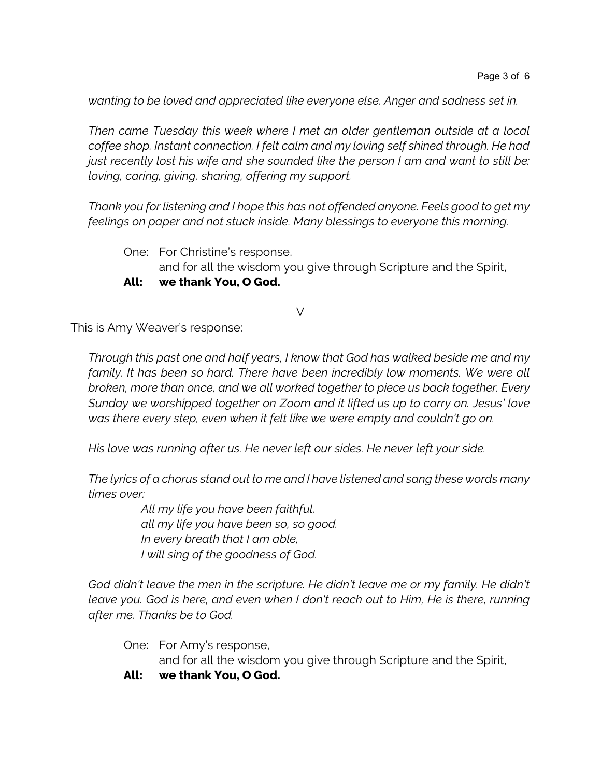*wanting to be loved and appreciated like everyone else. Anger and sadness set in.* 

*Then came Tuesday this week where I met an older gentleman outside at a local coffee shop. Instant connection. I felt calm and my loving self shined through. He had just recently lost his wife and she sounded like the person I am and want to still be: loving, caring, giving, sharing, offering my support.* 

*Thank you for listening and I hope this has not offended anyone. Feels good to get my feelings on paper and not stuck inside. Many blessings to everyone this morning.* 

- One: For Christine's response, and for all the wisdom you give through Scripture and the Spirit,
- **All: we thank You, O God.**

## V

This is Amy Weaver's response:

*Through this past one and half years, I know that God has walked beside me and my family. It has been so hard. There have been incredibly low moments. We were all broken, more than once, and we all worked together to piece us back together. Every Sunday we worshipped together on Zoom and it lifted us up to carry on. Jesus' love was there every step, even when it felt like we were empty and couldn't go on.* 

*His love was running after us. He never left our sides. He never left your side.* 

*The lyrics of a chorus stand out to me and I have listened and sang these words many times over:*

> *All my life you have been faithful, all my life you have been so, so good. In every breath that I am able, I will sing of the goodness of God.*

*God didn't leave the men in the scripture. He didn't leave me or my family. He didn't leave you. God is here, and even when I don't reach out to Him, He is there, running after me. Thanks be to God.* 

One: For Amy's response,

and for all the wisdom you give through Scripture and the Spirit,

**All: we thank You, O God.**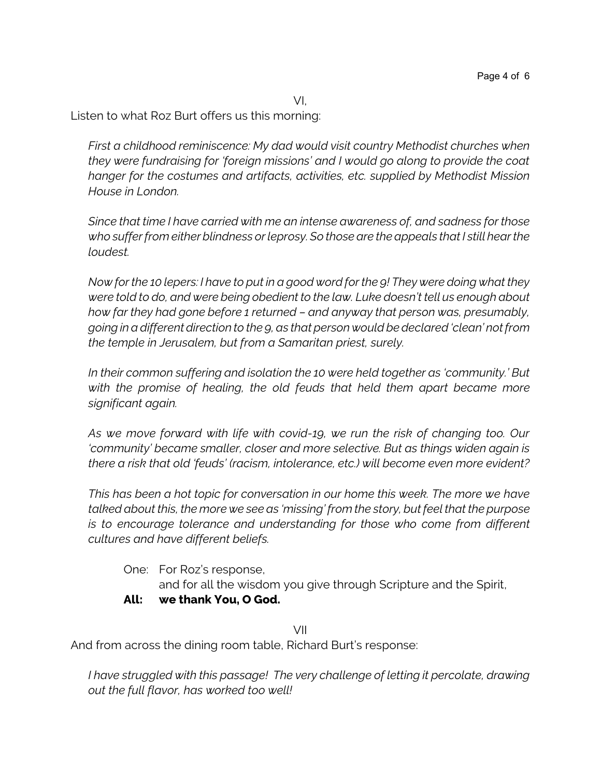VI,

Listen to what Roz Burt offers us this morning:

*First a childhood reminiscence: My dad would visit country Methodist churches when they were fundraising for 'foreign missions' and I would go along to provide the coat hanger for the costumes and artifacts, activities, etc. supplied by Methodist Mission House in London.*

*Since that time I have carried with me an intense awareness of, and sadness for those who suffer from either blindness or leprosy. So those are the appeals that I still hear the loudest.*

*Now for the 10 lepers: I have to put in a good word for the 9! They were doing what they were told to do, and were being obedient to the law. Luke doesn't tell us enough about how far they had gone before 1 returned – and anyway that person was, presumably, going in a different direction to the 9, as that person would be declared 'clean' not from the temple in Jerusalem, but from a Samaritan priest, surely.*

*In their common suffering and isolation the 10 were held together as 'community.' But with the promise of healing, the old feuds that held them apart became more significant again.*

*As we move forward with life with covid-19, we run the risk of changing too. Our 'community' became smaller, closer and more selective. But as things widen again is there a risk that old 'feuds' (racism, intolerance, etc.) will become even more evident?* 

*This has been a hot topic for conversation in our home this week. The more we have talked about this, the more we see as 'missing' from the story, but feel that the purpose is to encourage tolerance and understanding for those who come from different cultures and have different beliefs.*

One: For Roz's response,

and for all the wisdom you give through Scripture and the Spirit,

## **All: we thank You, O God.**

VII

And from across the dining room table, Richard Burt's response:

*I have struggled with this passage! The very challenge of letting it percolate, drawing out the full flavor, has worked too well!*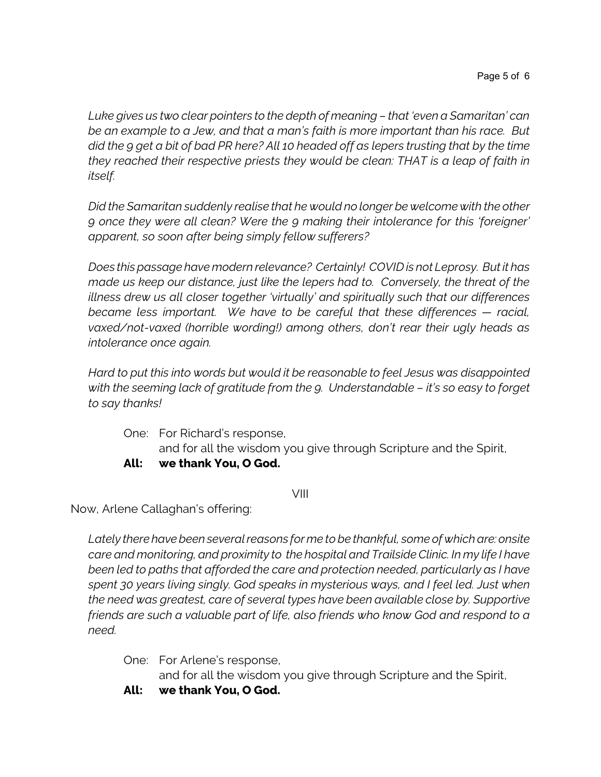*Luke gives us two clear pointers to the depth of meaning – that 'even a Samaritan' can be an example to a Jew, and that a man's faith is more important than his race. But did the 9 get a bit of bad PR here? All 10 headed off as lepers trusting that by the time they reached their respective priests they would be clean: THAT is a leap of faith in itself.* 

*Did the Samaritan suddenly realise that he would no longer be welcome with the other 9 once they were all clean? Were the 9 making their intolerance for this 'foreigner' apparent, so soon after being simply fellow sufferers?*

*Does this passage have modern relevance? Certainly! COVIDis not Leprosy. But it has made us keep our distance, just like the lepers had to. Conversely, the threat of the illness drew us all closer together 'virtually' and spiritually such that our differences became less important. We have to be careful that these differences — racial, vaxed/not-vaxed (horrible wording!) among others, don't rear their ugly heads as intolerance once again.*

*Hard to put this into words but would it be reasonable to feel Jesus was disappointed with the seeming lack of gratitude from the 9. Understandable – it's so easy to forget to say thanks!* 

One: For Richard's response,

and for all the wisdom you give through Scripture and the Spirit,

**All: we thank You, O God.** 

VIII

Now, Arlene Callaghan's offering:

*Lately there have been several reasons for me to be thankful, some of which are: onsite care and monitoring, and proximity to the hospital and Trailside Clinic. In my life I have been led to paths that afforded the care and protection needed, particularly as I have spent 30 years living singly. God speaks in mysterious ways, and I feel led. Just when the need was greatest, care of several types have been available close by. Supportive friends are such a valuable part of life, also friends who know God and respond to a need.* 

One: For Arlene's response, and for all the wisdom you give through Scripture and the Spirit,

**All: we thank You, O God.**